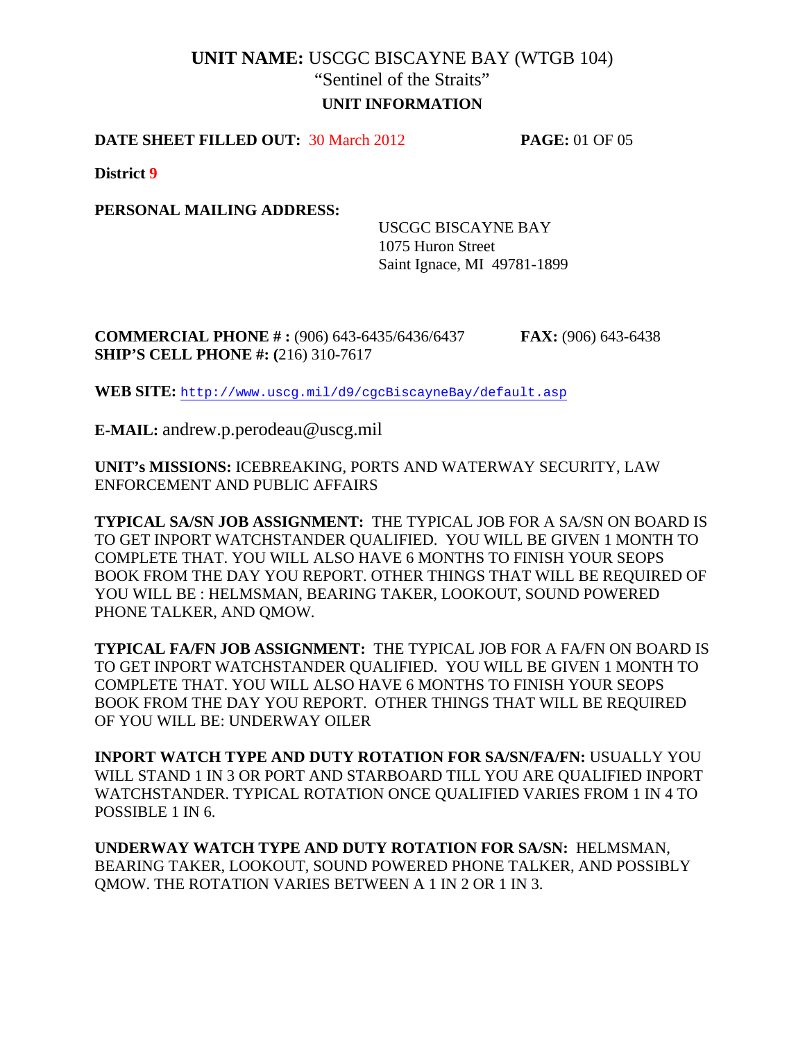# **UNIT NAME:** USCGC BISCAYNE BAY (WTGB 104) "Sentinel of the Straits" **UNIT INFORMATION**

### **DATE SHEET FILLED OUT:** 30 March 2012 **PAGE:** 01 OF 05

**District 9**

**PERSONAL MAILING ADDRESS:** 

 USCGC BISCAYNE BAY 1075 Huron Street Saint Ignace, MI 49781-1899

**COMMERCIAL PHONE # :** (906) 643-6435/6436/6437 **FAX:** (906) 643-6438 **SHIP'S CELL PHONE #: (**216) 310-7617

**WEB SITE:** <http://www.uscg.mil/d9/cgcBiscayneBay/default.asp>

**E-MAIL:** andrew.p.perodeau@uscg.mil

**UNIT's MISSIONS:** ICEBREAKING, PORTS AND WATERWAY SECURITY, LAW ENFORCEMENT AND PUBLIC AFFAIRS

**TYPICAL SA/SN JOB ASSIGNMENT:** THE TYPICAL JOB FOR A SA/SN ON BOARD IS TO GET INPORT WATCHSTANDER QUALIFIED. YOU WILL BE GIVEN 1 MONTH TO COMPLETE THAT. YOU WILL ALSO HAVE 6 MONTHS TO FINISH YOUR SEOPS BOOK FROM THE DAY YOU REPORT. OTHER THINGS THAT WILL BE REQUIRED OF YOU WILL BE : HELMSMAN, BEARING TAKER, LOOKOUT, SOUND POWERED PHONE TALKER, AND QMOW.

**TYPICAL FA/FN JOB ASSIGNMENT:** THE TYPICAL JOB FOR A FA/FN ON BOARD IS TO GET INPORT WATCHSTANDER QUALIFIED. YOU WILL BE GIVEN 1 MONTH TO COMPLETE THAT. YOU WILL ALSO HAVE 6 MONTHS TO FINISH YOUR SEOPS BOOK FROM THE DAY YOU REPORT. OTHER THINGS THAT WILL BE REQUIRED OF YOU WILL BE: UNDERWAY OILER

**INPORT WATCH TYPE AND DUTY ROTATION FOR SA/SN/FA/FN:** USUALLY YOU WILL STAND 1 IN 3 OR PORT AND STARBOARD TILL YOU ARE QUALIFIED INPORT WATCHSTANDER. TYPICAL ROTATION ONCE QUALIFIED VARIES FROM 1 IN 4 TO POSSIBLE 1 IN 6.

**UNDERWAY WATCH TYPE AND DUTY ROTATION FOR SA/SN:** HELMSMAN, BEARING TAKER, LOOKOUT, SOUND POWERED PHONE TALKER, AND POSSIBLY QMOW. THE ROTATION VARIES BETWEEN A 1 IN 2 OR 1 IN 3.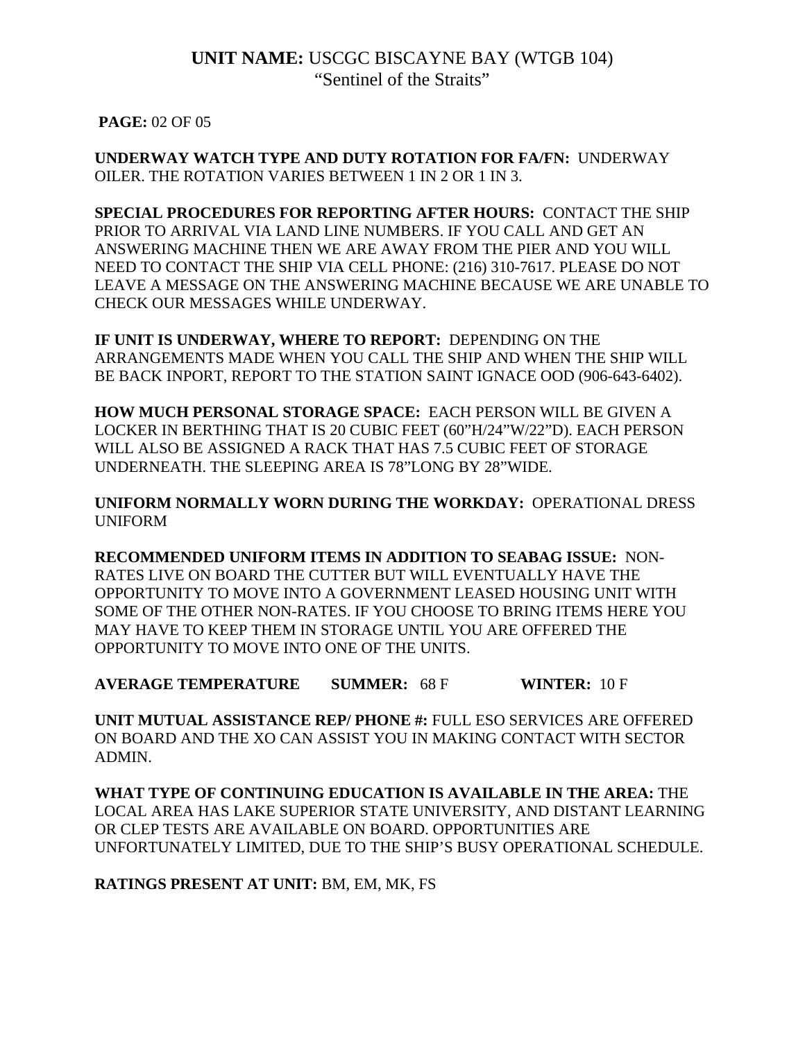**PAGE:** 02 OF 05

**UNDERWAY WATCH TYPE AND DUTY ROTATION FOR FA/FN:** UNDERWAY OILER. THE ROTATION VARIES BETWEEN 1 IN 2 OR 1 IN 3.

**SPECIAL PROCEDURES FOR REPORTING AFTER HOURS:** CONTACT THE SHIP PRIOR TO ARRIVAL VIA LAND LINE NUMBERS. IF YOU CALL AND GET AN ANSWERING MACHINE THEN WE ARE AWAY FROM THE PIER AND YOU WILL NEED TO CONTACT THE SHIP VIA CELL PHONE: (216) 310-7617. PLEASE DO NOT LEAVE A MESSAGE ON THE ANSWERING MACHINE BECAUSE WE ARE UNABLE TO CHECK OUR MESSAGES WHILE UNDERWAY.

IF UNIT IS UNDERWAY, WHERE TO REPORT: DEPENDING ON THE ARRANGEMENTS MADE WHEN YOU CALL THE SHIP AND WHEN THE SHIP WILL BE BACK INPORT, REPORT TO THE STATION SAINT IGNACE OOD (906-643-6402).

**HOW MUCH PERSONAL STORAGE SPACE:** EACH PERSON WILL BE GIVEN A LOCKER IN BERTHING THAT IS 20 CUBIC FEET (60"H/24"W/22"D). EACH PERSON WILL ALSO BE ASSIGNED A RACK THAT HAS 7.5 CUBIC FEET OF STORAGE UNDERNEATH. THE SLEEPING AREA IS 78"LONG BY 28"WIDE.

**UNIFORM NORMALLY WORN DURING THE WORKDAY:** OPERATIONAL DRESS UNIFORM

**RECOMMENDED UNIFORM ITEMS IN ADDITION TO SEABAG ISSUE:** NON-RATES LIVE ON BOARD THE CUTTER BUT WILL EVENTUALLY HAVE THE OPPORTUNITY TO MOVE INTO A GOVERNMENT LEASED HOUSING UNIT WITH SOME OF THE OTHER NON-RATES. IF YOU CHOOSE TO BRING ITEMS HERE YOU MAY HAVE TO KEEP THEM IN STORAGE UNTIL YOU ARE OFFERED THE OPPORTUNITY TO MOVE INTO ONE OF THE UNITS.

**AVERAGE TEMPERATURE SUMMER:** 68 F **WINTER:** 10 F

**UNIT MUTUAL ASSISTANCE REP/ PHONE #:** FULL ESO SERVICES ARE OFFERED ON BOARD AND THE XO CAN ASSIST YOU IN MAKING CONTACT WITH SECTOR ADMIN.

**WHAT TYPE OF CONTINUING EDUCATION IS AVAILABLE IN THE AREA:** THE LOCAL AREA HAS LAKE SUPERIOR STATE UNIVERSITY, AND DISTANT LEARNING OR CLEP TESTS ARE AVAILABLE ON BOARD. OPPORTUNITIES ARE UNFORTUNATELY LIMITED, DUE TO THE SHIP'S BUSY OPERATIONAL SCHEDULE.

**RATINGS PRESENT AT UNIT:** BM, EM, MK, FS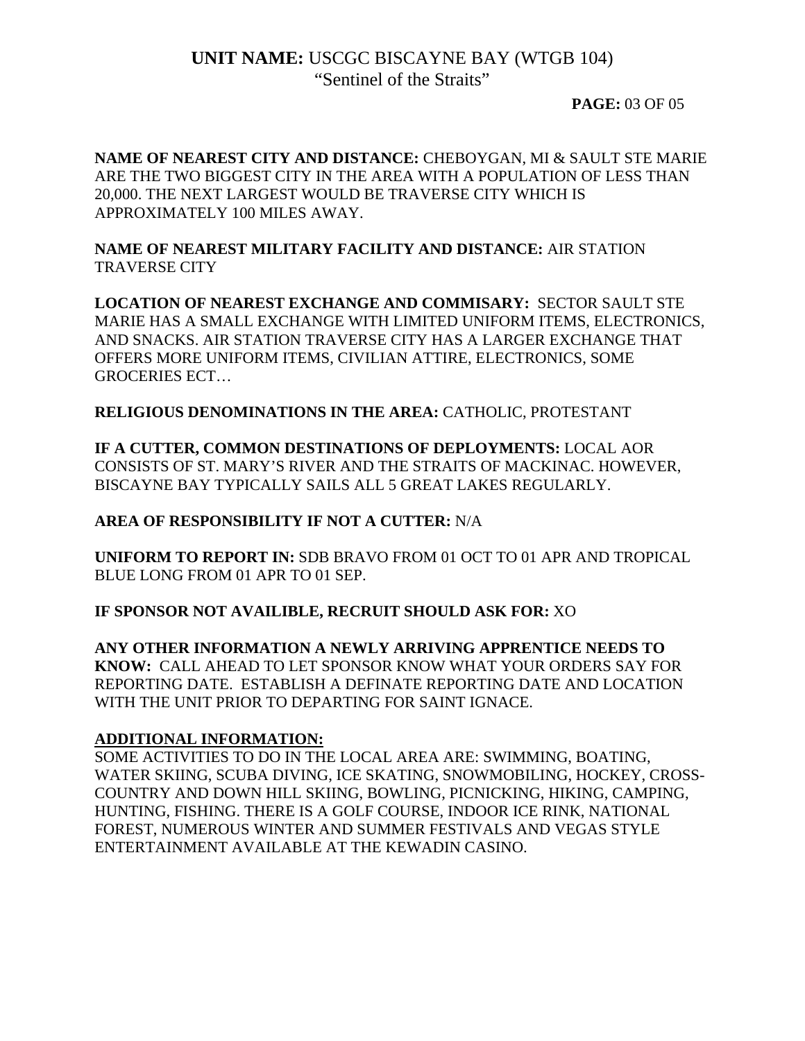### **PAGE:** 03 OF 05

**NAME OF NEAREST CITY AND DISTANCE:** CHEBOYGAN, MI & SAULT STE MARIE ARE THE TWO BIGGEST CITY IN THE AREA WITH A POPULATION OF LESS THAN 20,000. THE NEXT LARGEST WOULD BE TRAVERSE CITY WHICH IS APPROXIMATELY 100 MILES AWAY.

**NAME OF NEAREST MILITARY FACILITY AND DISTANCE:** AIR STATION TRAVERSE CITY

**LOCATION OF NEAREST EXCHANGE AND COMMISARY:** SECTOR SAULT STE MARIE HAS A SMALL EXCHANGE WITH LIMITED UNIFORM ITEMS, ELECTRONICS, AND SNACKS. AIR STATION TRAVERSE CITY HAS A LARGER EXCHANGE THAT OFFERS MORE UNIFORM ITEMS, CIVILIAN ATTIRE, ELECTRONICS, SOME GROCERIES ECT…

**RELIGIOUS DENOMINATIONS IN THE AREA:** CATHOLIC, PROTESTANT

**IF A CUTTER, COMMON DESTINATIONS OF DEPLOYMENTS:** LOCAL AOR CONSISTS OF ST. MARY'S RIVER AND THE STRAITS OF MACKINAC. HOWEVER, BISCAYNE BAY TYPICALLY SAILS ALL 5 GREAT LAKES REGULARLY.

### **AREA OF RESPONSIBILITY IF NOT A CUTTER:** N/A

**UNIFORM TO REPORT IN:** SDB BRAVO FROM 01 OCT TO 01 APR AND TROPICAL BLUE LONG FROM 01 APR TO 01 SEP.

**IF SPONSOR NOT AVAILIBLE, RECRUIT SHOULD ASK FOR:** XO

**ANY OTHER INFORMATION A NEWLY ARRIVING APPRENTICE NEEDS TO KNOW:** CALL AHEAD TO LET SPONSOR KNOW WHAT YOUR ORDERS SAY FOR REPORTING DATE. ESTABLISH A DEFINATE REPORTING DATE AND LOCATION WITH THE UNIT PRIOR TO DEPARTING FOR SAINT IGNACE.

### **ADDITIONAL INFORMATION:**

SOME ACTIVITIES TO DO IN THE LOCAL AREA ARE: SWIMMING, BOATING, WATER SKIING, SCUBA DIVING, ICE SKATING, SNOWMOBILING, HOCKEY, CROSS-COUNTRY AND DOWN HILL SKIING, BOWLING, PICNICKING, HIKING, CAMPING, HUNTING, FISHING. THERE IS A GOLF COURSE, INDOOR ICE RINK, NATIONAL FOREST, NUMEROUS WINTER AND SUMMER FESTIVALS AND VEGAS STYLE ENTERTAINMENT AVAILABLE AT THE KEWADIN CASINO.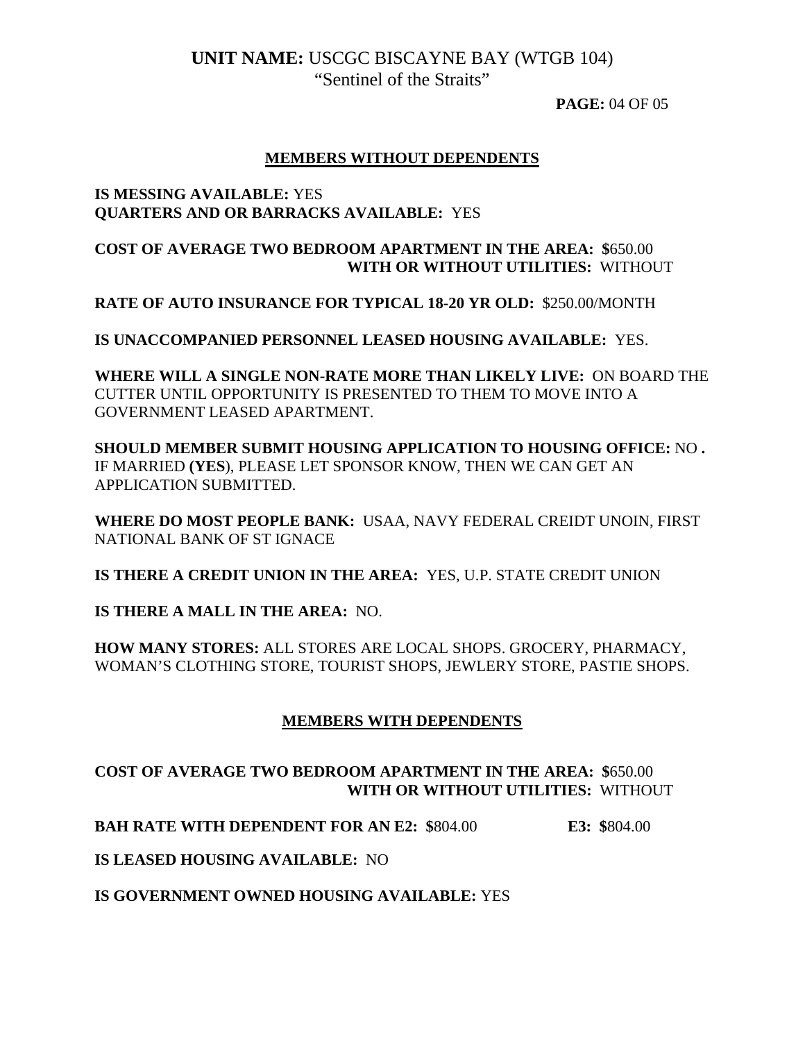**PAGE:** 04 OF 05

### **MEMBERS WITHOUT DEPENDENTS**

#### **IS MESSING AVAILABLE:** YES **QUARTERS AND OR BARRACKS AVAILABLE:** YES

### **COST OF AVERAGE TWO BEDROOM APARTMENT IN THE AREA: \$**650.00  **WITH OR WITHOUT UTILITIES:** WITHOUT

**RATE OF AUTO INSURANCE FOR TYPICAL 18-20 YR OLD:** \$250.00/MONTH

**IS UNACCOMPANIED PERSONNEL LEASED HOUSING AVAILABLE:** YES.

**WHERE WILL A SINGLE NON-RATE MORE THAN LIKELY LIVE:** ON BOARD THE CUTTER UNTIL OPPORTUNITY IS PRESENTED TO THEM TO MOVE INTO A GOVERNMENT LEASED APARTMENT.

**SHOULD MEMBER SUBMIT HOUSING APPLICATION TO HOUSING OFFICE:** NO **.**  IF MARRIED **(YES**), PLEASE LET SPONSOR KNOW, THEN WE CAN GET AN APPLICATION SUBMITTED.

**WHERE DO MOST PEOPLE BANK:** USAA, NAVY FEDERAL CREIDT UNOIN, FIRST NATIONAL BANK OF ST IGNACE

**IS THERE A CREDIT UNION IN THE AREA:** YES, U.P. STATE CREDIT UNION

**IS THERE A MALL IN THE AREA:** NO.

**HOW MANY STORES:** ALL STORES ARE LOCAL SHOPS. GROCERY, PHARMACY, WOMAN'S CLOTHING STORE, TOURIST SHOPS, JEWLERY STORE, PASTIE SHOPS.

### **MEMBERS WITH DEPENDENTS**

## **COST OF AVERAGE TWO BEDROOM APARTMENT IN THE AREA: \$**650.00  **WITH OR WITHOUT UTILITIES:** WITHOUT

**BAH RATE WITH DEPENDENT FOR AN E2: \$**804.00 **E3: \$**804.00

**IS LEASED HOUSING AVAILABLE:** NO

**IS GOVERNMENT OWNED HOUSING AVAILABLE:** YES